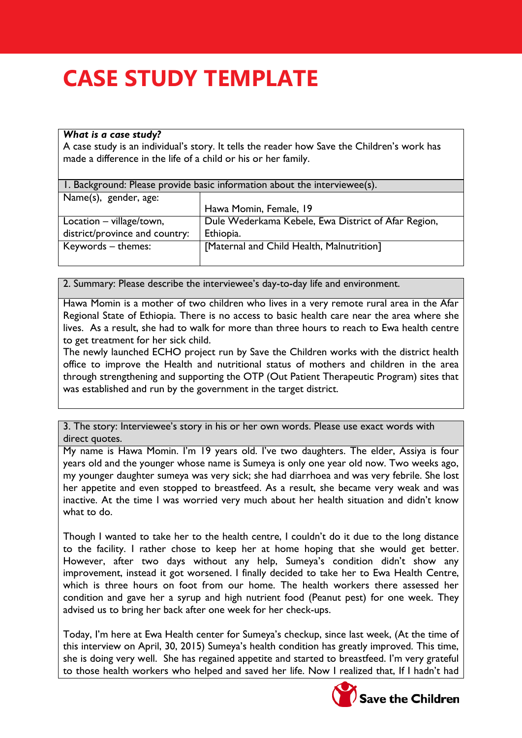## **CASE STUDY TEMPLATE**

## *What is a case study?*

A case study is an individual's story. It tells the reader how Save the Children's work has made a difference in the life of a child or his or her family.

| 1. Background: Please provide basic information about the interviewee(s). |                                                     |  |  |
|---------------------------------------------------------------------------|-----------------------------------------------------|--|--|
| Name(s), gender, age:                                                     |                                                     |  |  |
|                                                                           | Hawa Momin, Female, 19                              |  |  |
| Location – village/town,                                                  | Dule Wederkama Kebele, Ewa District of Afar Region, |  |  |
| district/province and country:                                            | Ethiopia.                                           |  |  |
| Keywords - themes:                                                        | [Maternal and Child Health, Malnutrition]           |  |  |
|                                                                           |                                                     |  |  |

2. Summary: Please describe the interviewee's day-to-day life and environment.

Hawa Momin is a mother of two children who lives in a very remote rural area in the Afar Regional State of Ethiopia. There is no access to basic health care near the area where she lives. As a result, she had to walk for more than three hours to reach to Ewa health centre to get treatment for her sick child.

The newly launched ECHO project run by Save the Children works with the district health office to improve the Health and nutritional status of mothers and children in the area through strengthening and supporting the OTP (Out Patient Therapeutic Program) sites that was established and run by the government in the target district.

3. The story: Interviewee's story in his or her own words. Please use exact words with direct quotes.

My name is Hawa Momin. I'm 19 years old. I've two daughters. The elder, Assiya is four years old and the younger whose name is Sumeya is only one year old now. Two weeks ago, my younger daughter sumeya was very sick; she had diarrhoea and was very febrile. She lost her appetite and even stopped to breastfeed. As a result, she became very weak and was inactive. At the time I was worried very much about her health situation and didn't know what to do.

Though I wanted to take her to the health centre, I couldn't do it due to the long distance to the facility. I rather chose to keep her at home hoping that she would get better. However, after two days without any help, Sumeya's condition didn't show any improvement, instead it got worsened. I finally decided to take her to Ewa Health Centre, which is three hours on foot from our home. The health workers there assessed her condition and gave her a syrup and high nutrient food (Peanut pest) for one week. They advised us to bring her back after one week for her check-ups.

Today, I'm here at Ewa Health center for Sumeya's checkup, since last week, (At the time of this interview on April, 30, 2015) Sumeya's health condition has greatly improved. This time, she is doing very well. She has regained appetite and started to breastfeed. I'm very grateful to those health workers who helped and saved her life. Now I realized that, If I hadn't had



**Save the Children**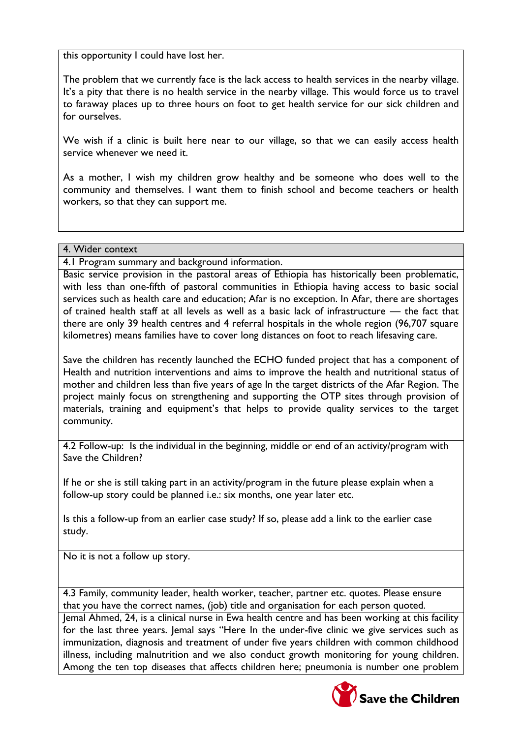this opportunity I could have lost her.

The problem that we currently face is the lack access to health services in the nearby village. It's a pity that there is no health service in the nearby village. This would force us to travel to faraway places up to three hours on foot to get health service for our sick children and for ourselves.

We wish if a clinic is built here near to our village, so that we can easily access health service whenever we need it.

As a mother, I wish my children grow healthy and be someone who does well to the community and themselves. I want them to finish school and become teachers or health workers, so that they can support me.

## 4. Wider context

4.1 Program summary and background information.

Basic service provision in the pastoral areas of Ethiopia has historically been problematic, with less than one-fifth of pastoral communities in Ethiopia having access to basic social services such as health care and education; Afar is no exception. In Afar, there are shortages of trained health staff at all levels as well as a basic lack of infrastructure — the fact that there are only 39 health centres and 4 referral hospitals in the whole region (96,707 square kilometres) means families have to cover long distances on foot to reach lifesaving care.

Save the children has recently launched the ECHO funded project that has a component of Health and nutrition interventions and aims to improve the health and nutritional status of mother and children less than five years of age In the target districts of the Afar Region. The project mainly focus on strengthening and supporting the OTP sites through provision of materials, training and equipment's that helps to provide quality services to the target community.

4.2 Follow-up: Is the individual in the beginning, middle or end of an activity/program with Save the Children?

If he or she is still taking part in an activity/program in the future please explain when a follow-up story could be planned i.e.: six months, one year later etc.

Is this a follow-up from an earlier case study? If so, please add a link to the earlier case study.

No it is not a follow up story.

4.3 Family, community leader, health worker, teacher, partner etc. quotes. Please ensure that you have the correct names, (job) title and organisation for each person quoted.

Jemal Ahmed, 24, is a clinical nurse in Ewa health centre and has been working at this facility for the last three years. Jemal says "Here In the under-five clinic we give services such as immunization, diagnosis and treatment of under five years children with common childhood illness, including malnutrition and we also conduct growth monitoring for young children. Among the ten top diseases that affects children here; pneumonia is number one problem

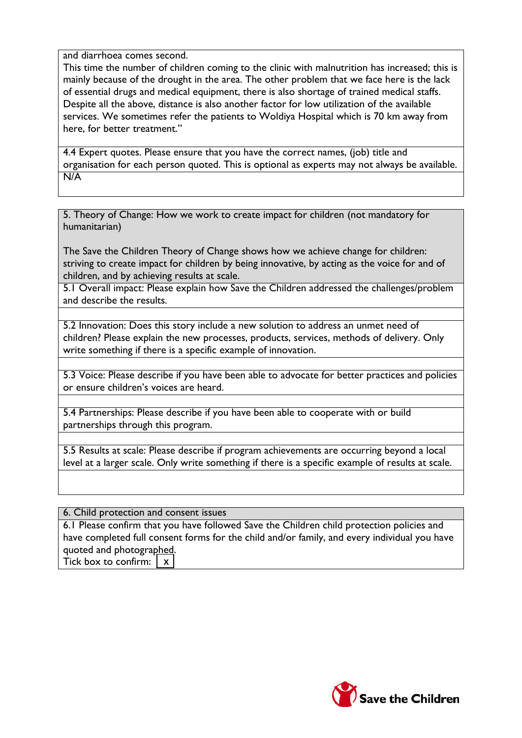and diarrhoea comes second.

This time the number of children coming to the clinic with malnutrition has increased; this is mainly because of the drought in the area. The other problem that we face here is the lack of essential drugs and medical equipment, there is also shortage of trained medical staffs. Despite all the above, distance is also another factor for low utilization of the available services. We sometimes refer the patients to Woldiya Hospital which is 70 km away from here, for better treatment."

4.4 Expert quotes. Please ensure that you have the correct names, (job) title and organisation for each person quoted. This is optional as experts may not always be available. N/A

5. Theory of Change: How we work to create impact for children (not mandatory for humanitarian)

The Save the Children Theory of Change shows how we achieve change for children: striving to create impact for children by being innovative, by acting as the voice for and of children, and by achieving results at scale.

5.1 Overall impact: Please explain how Save the Children addressed the challenges/problem and describe the results.

5.2 Innovation: Does this story include a new solution to address an unmet need of children? Please explain the new processes, products, services, methods of delivery. Only write something if there is a specific example of innovation.

5.3 Voice: Please describe if you have been able to advocate for better practices and policies or ensure children's voices are heard.

5.4 Partnerships: Please describe if you have been able to cooperate with or build partnerships through this program.

5.5 Results at scale: Please describe if program achievements are occurring beyond a local level at a larger scale. Only write something if there is a specific example of results at scale.

6. Child protection and consent issues

6.1 Please confirm that you have followed Save the Children child protection policies and have completed full consent forms for the child and/or family, and every individual you have quoted and photographed. Tick box to confirm:  $\mathbf{x}$